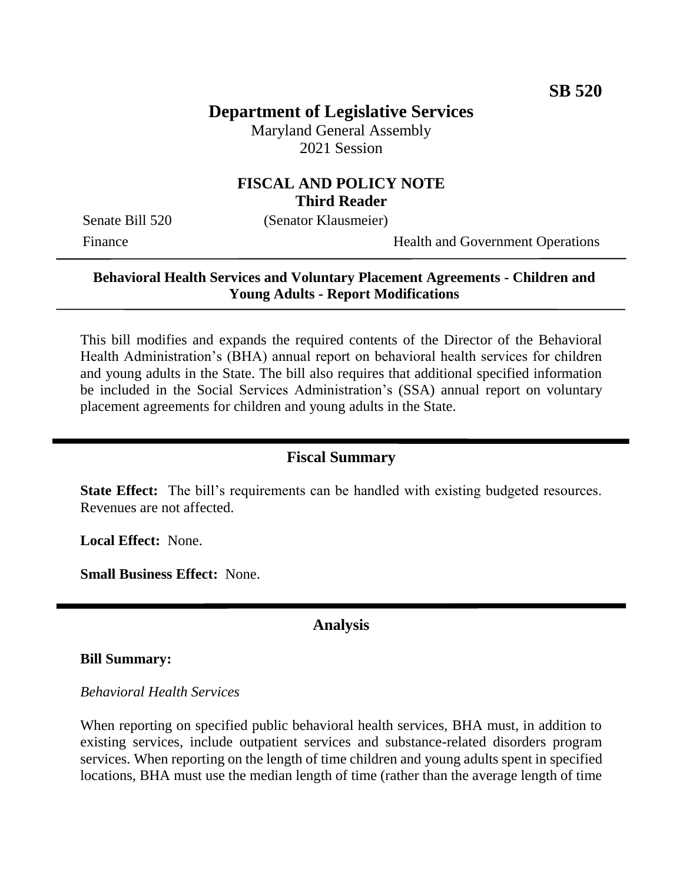# **Department of Legislative Services**

Maryland General Assembly 2021 Session

## **FISCAL AND POLICY NOTE Third Reader**

Senate Bill 520 (Senator Klausmeier)

Finance Health and Government Operations

## **Behavioral Health Services and Voluntary Placement Agreements - Children and Young Adults - Report Modifications**

This bill modifies and expands the required contents of the Director of the Behavioral Health Administration's (BHA) annual report on behavioral health services for children and young adults in the State. The bill also requires that additional specified information be included in the Social Services Administration's (SSA) annual report on voluntary placement agreements for children and young adults in the State.

#### **Fiscal Summary**

**State Effect:** The bill's requirements can be handled with existing budgeted resources. Revenues are not affected.

**Local Effect:** None.

**Small Business Effect:** None.

### **Analysis**

#### **Bill Summary:**

#### *Behavioral Health Services*

When reporting on specified public behavioral health services, BHA must, in addition to existing services, include outpatient services and substance-related disorders program services. When reporting on the length of time children and young adults spent in specified locations, BHA must use the median length of time (rather than the average length of time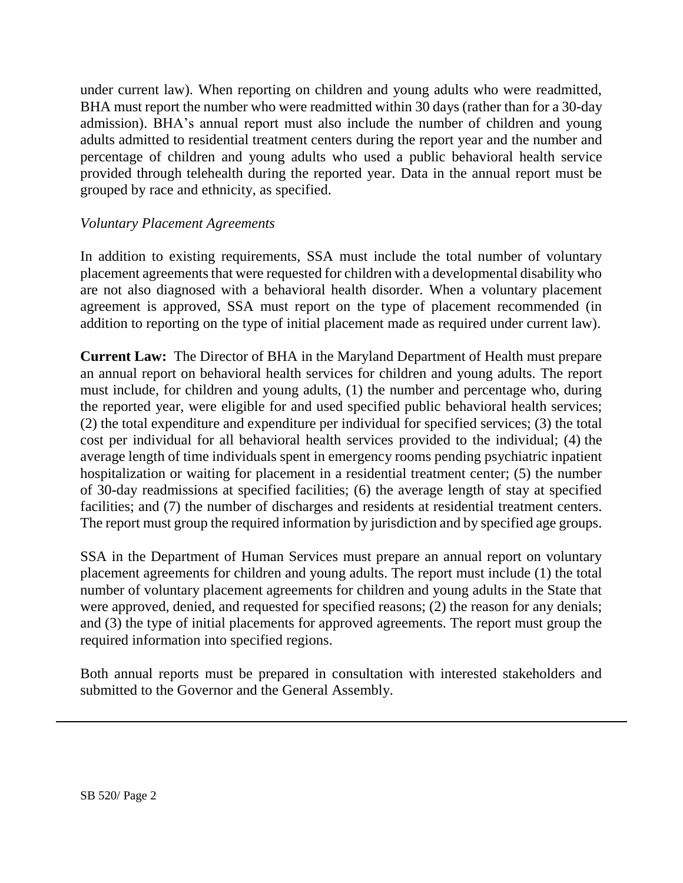under current law). When reporting on children and young adults who were readmitted, BHA must report the number who were readmitted within 30 days (rather than for a 30-day admission). BHA's annual report must also include the number of children and young adults admitted to residential treatment centers during the report year and the number and percentage of children and young adults who used a public behavioral health service provided through telehealth during the reported year. Data in the annual report must be grouped by race and ethnicity, as specified.

#### *Voluntary Placement Agreements*

In addition to existing requirements, SSA must include the total number of voluntary placement agreements that were requested for children with a developmental disability who are not also diagnosed with a behavioral health disorder. When a voluntary placement agreement is approved, SSA must report on the type of placement recommended (in addition to reporting on the type of initial placement made as required under current law).

**Current Law:** The Director of BHA in the Maryland Department of Health must prepare an annual report on behavioral health services for children and young adults. The report must include, for children and young adults, (1) the number and percentage who, during the reported year, were eligible for and used specified public behavioral health services; (2) the total expenditure and expenditure per individual for specified services; (3) the total cost per individual for all behavioral health services provided to the individual; (4) the average length of time individuals spent in emergency rooms pending psychiatric inpatient hospitalization or waiting for placement in a residential treatment center; (5) the number of 30-day readmissions at specified facilities; (6) the average length of stay at specified facilities; and (7) the number of discharges and residents at residential treatment centers. The report must group the required information by jurisdiction and by specified age groups.

SSA in the Department of Human Services must prepare an annual report on voluntary placement agreements for children and young adults. The report must include (1) the total number of voluntary placement agreements for children and young adults in the State that were approved, denied, and requested for specified reasons; (2) the reason for any denials; and (3) the type of initial placements for approved agreements. The report must group the required information into specified regions.

Both annual reports must be prepared in consultation with interested stakeholders and submitted to the Governor and the General Assembly.